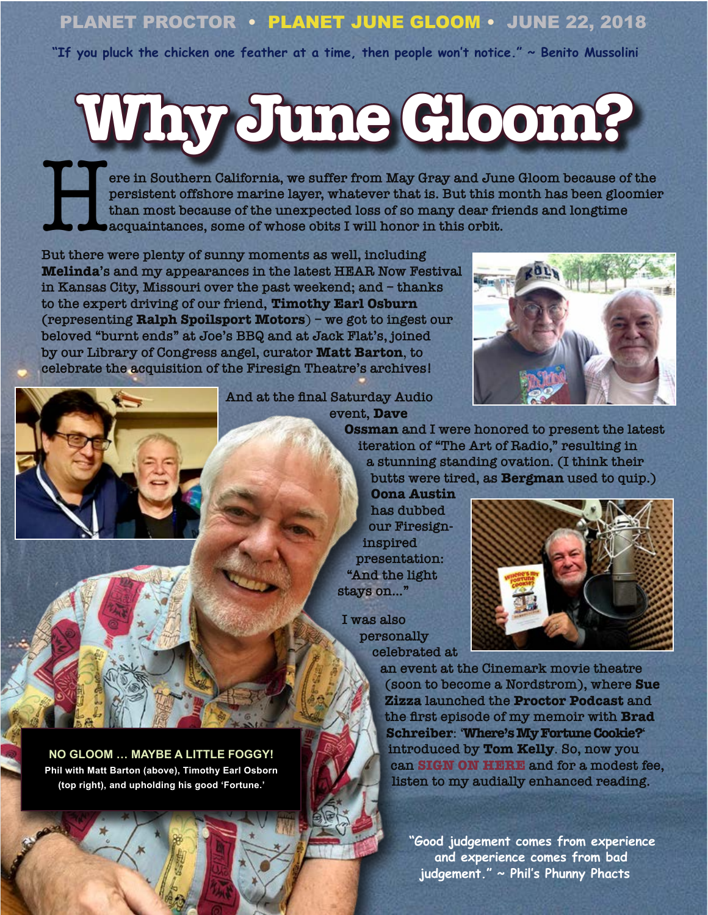### PLANET PROCTOR • PLANET JUNE GLOOM • JUNE 22, 2018

**"If you pluck the chicken one feather at a time, then people won't notice." ~ Benito Mussolini**

# **Why June Gloom?**

ere in Southern California, we suffer from May Gray and June Gloom because of the **persistent offshore marine layer, whatever that is. But this month has been gloomier than most because of the unexpected loss of so many dear friends and longtime acquaintances, some of whose obits I will honor in this orbit.** 

**But there were plenty of sunny moments as well, including Melinda's and my appearances in the latest HEAR Now Festival in Kansas City, Missouri over the past weekend; and – thanks to the expert driving of our friend, Timothy Earl Osburn (representing Ralph Spoilsport Motors**) **– we got to ingest our beloved "burnt ends" at Joe's BBQ and at Jack Flat's, joined by our Library of Congress angel, curator Matt Barton**, **to celebrate the acquisition of the Firesign Theatre's archives!**



**And at the final Saturday Audio event, Dave** 

> **Ossman and I were honored to present the latest iteration of "The Art of Radio," resulting in a stunning standing ovation. (I think their butts were tired, as Bergman used to quip.)**

**Oona Austin has dubbed our Firesigninspired presentation: "And the light stays on…"**

**I was also personally celebrated at** 



**an event at the Cinemark movie theatre (soon to become a Nordstrom), where Sue Zizza launched the Proctor Podcast and the first episode of my memoir with Brad Schreiber**: '**Where's My Fortune Cookie?**' **introduced by Tom Kelly**. **So, now you can [SIGN ON HERE](https://www.podbean.com/media/share/pb-phn6s-92daa2) and for a modest fee, listen to my audially enhanced reading.**

**"Good judgement comes from experience and experience comes from bad judgement." ~ Phil's Phunny Phacts**

**NO GLOOM … MAYBE A LITTLE FOGGY! Phil with Matt Barton (above), Timothy Earl Osborn (top right), and upholding his good 'Fortune.'**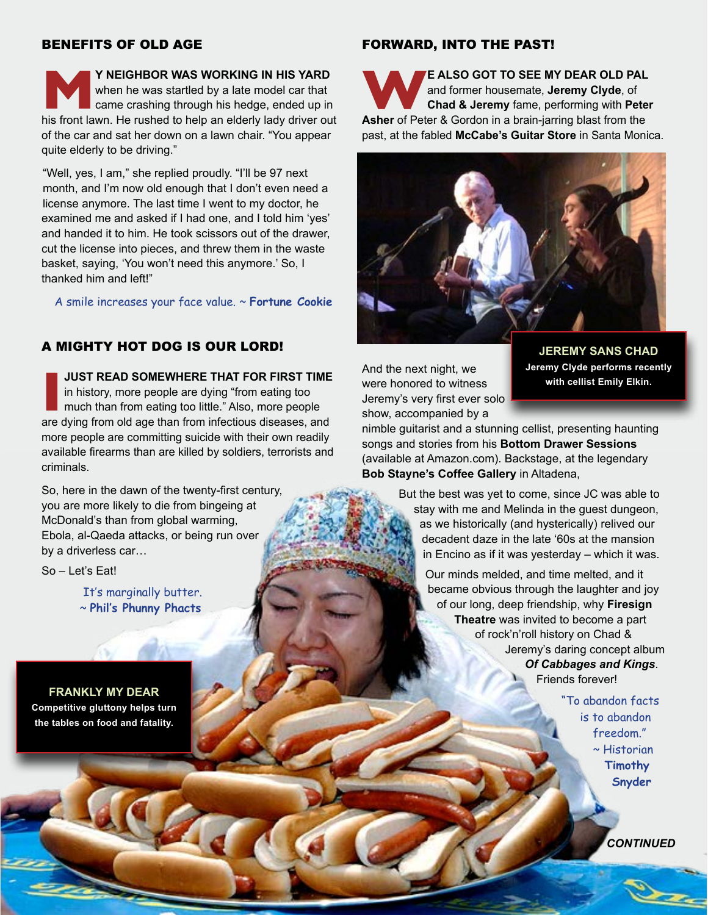#### BENEFITS OF OLD AGE

**MRIGHBOR WAS WORKING IN HIS YARD**<br>
when he was startled by a late model car that<br>
came crashing through his hedge, ended up in<br>
his front lawn. He rushed to help an elderly lady driver out when he was startled by a late model car that came crashing through his hedge, ended up in of the car and sat her down on a lawn chair. "You appear quite elderly to be driving."

"Well, yes, I am," she replied proudly. "I'll be 97 next month, and I'm now old enough that I don't even need a license anymore. The last time I went to my doctor, he examined me and asked if I had one, and I told him 'yes' and handed it to him. He took scissors out of the drawer, cut the license into pieces, and threw them in the waste basket, saying, 'You won't need this anymore.' So, I thanked him and left!"

A smile increases your face value. ~ **Fortune Cookie**

#### A MIGHTY HOT DOG IS OUR LORD!

**IUST READ SOMEWHERE THAT FOR FIRST TIME**<br>in history, more people are dying "from eating too<br>much than from eating too little." Also, more people<br>are dying from old age than from infectious diseases, and **JUST READ SOMEWHERE THAT FOR FIRST TIME**  in history, more people are dying "from eating too much than from eating too little." Also, more people more people are committing suicide with their own readily available firearms than are killed by soldiers, terrorists and criminals.

So, here in the dawn of the twenty-first century, you are more likely to die from bingeing at McDonald's than from global warming, Ebola, al-Qaeda attacks, or being run over by a driverless car…

So – Let's Eat!

It's marginally butter. ~ **Phil's Phunny Phacts**

**FRANKLY MY DEAR Competitive gluttony helps turn the tables on food and fatality.**

#### FORWARD, INTO THE PAST!

**WE ALSO GOT TO SEE MY DEAR OLD PAL**<br>
and former housemate, **Jeremy Clyde**, of<br> **Asher** of Peter & Gordon in a brain-jarring blast from the and former housemate, **Jeremy Clyde**, of **Chad & Jeremy** fame, performing with **Peter**  past, at the fabled **McCabe's Guitar Store** in Santa Monica.



And the next night, we were honored to witness Jeremy's very first ever solo show, accompanied by a

**JEREMY SANS CHAD Jeremy Clyde performs recently with cellist Emily Elkin.**

nimble guitarist and a stunning cellist, presenting haunting songs and stories from his **Bottom Drawer Sessions** (available at Amazon.com). Backstage, at the legendary **Bob Stayne's Coffee Gallery** in Altadena,

> But the best was yet to come, since JC was able to stay with me and Melinda in the guest dungeon, as we historically (and hysterically) relived our decadent daze in the late '60s at the mansion in Encino as if it was yesterday – which it was.

> > Our minds melded, and time melted, and it became obvious through the laughter and joy of our long, deep friendship, why **Firesign Theatre** was invited to become a part of rock'n'roll history on Chad & Jeremy's daring concept album *Of Cabbages and Kings*. Friends forever!

> > > "To abandon facts is to abandon freedom." ~ Historian **Timothy Snyder**

> > > > n *CONTINUED*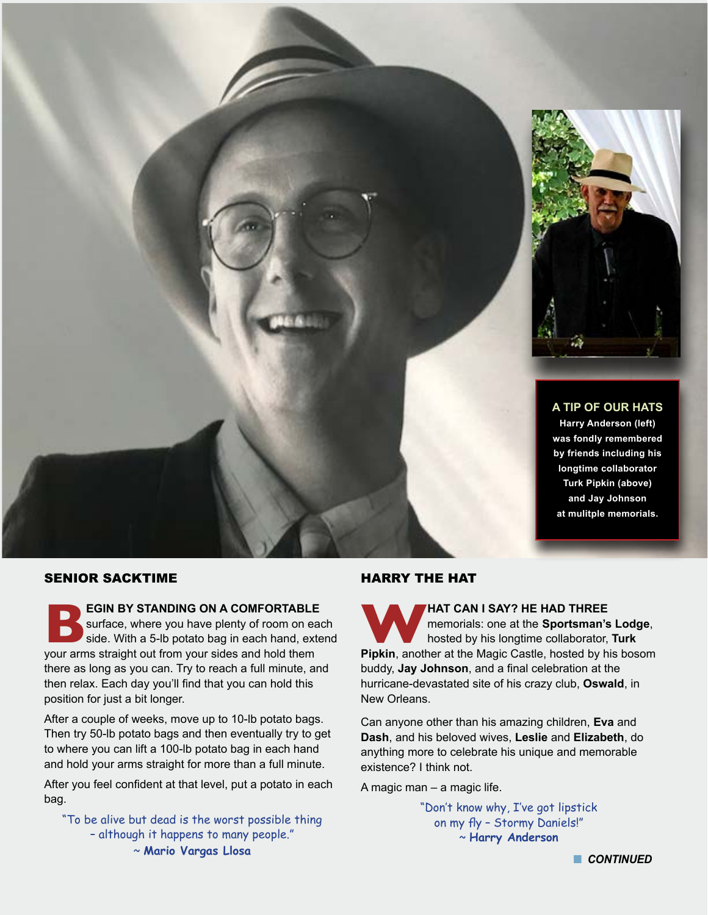

**A TIP OF OUR HATS Harry Anderson (left) was fondly remembered by friends including his longtime collaborator Turk Pipkin (above) and Jay Johnson at mulitple memorials.**

#### SENIOR SACKTIME

**BEGIN BY STANDING ON A COMFORTABLE**<br>
surface, where you have plenty of room on ead<br>
side. With a 5-lb potato bag in each hand, external wour arms straight out from your sides and hold them surface, where you have plenty of room on each side. With a 5-lb potato bag in each hand, extend your arms straight out from your sides and hold them there as long as you can. Try to reach a full minute, and then relax. Each day you'll find that you can hold this position for just a bit longer.

After a couple of weeks, move up to 10-lb potato bags. Then try 50-lb potato bags and then eventually try to get to where you can lift a 100-lb potato bag in each hand and hold your arms straight for more than a full minute.

After you feel confident at that level, put a potato in each bag.

"To be alive but dead is the worst possible thing – although it happens to many people." ~ **Mario Vargas Llosa**

#### HARRY THE HAT

**WAT CAN I SAY? HE HAD THREE**<br>
memorials: one at the Sportsman's Lodge,<br>
Pipkin, another at the Magic Castle, hosted by his bosom memorials: one at the **Sportsman's Lodge**, hosted by his longtime collaborator, **Turk**  buddy, **Jay Johnson**, and a final celebration at the hurricane-devastated site of his crazy club, **Oswald**, in New Orleans.

Can anyone other than his amazing children, **Eva** and **Dash**, and his beloved wives, **Leslie** and **Elizabeth**, do anything more to celebrate his unique and memorable existence? I think not.

A magic man – a magic life.

"Don't know why, I've got lipstick on my fly – Stormy Daniels!" ~ **Harry Anderson**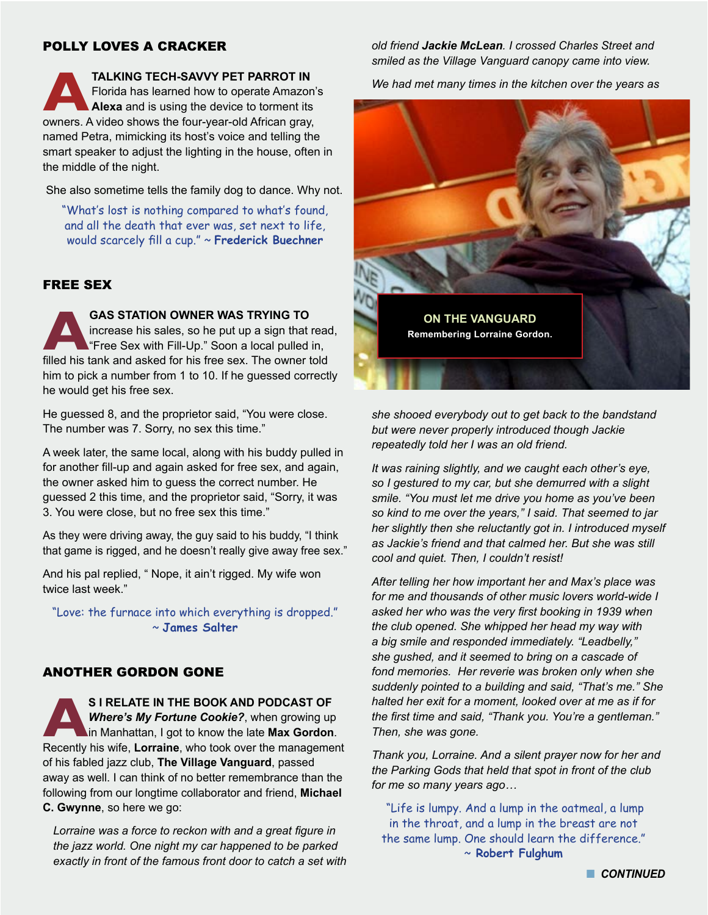#### POLLY LOVES A CRACKER

**ALKING TECH-SAVVY PET PARROT IN**<br>
Florida has learned how to operate Amazon'<br> **Alexa** and is using the device to torment its<br>
owners. A video shows the four-year-old African gray, Florida has learned how to operate Amazon's **Alexa** and is using the device to torment its named Petra, mimicking its host's voice and telling the smart speaker to adjust the lighting in the house, often in the middle of the night.

She also sometime tells the family dog to dance. Why not.

"What's lost is nothing compared to what's found, and all the death that ever was, set next to life, would scarcely fill a cup." ~ **Frederick Buechner**

#### FREE SEX

**ABAS STATION OWNER WAS TRYING TO**<br>increase his sales, so he put up a sign that if<br>"Free Sex with Fill-Up." Soon a local pulled<br>filled his tank and asked for his free sex. The owner t increase his sales, so he put up a sign that read, "Free Sex with Fill-Up." Soon a local pulled in, filled his tank and asked for his free sex. The owner told him to pick a number from 1 to 10. If he guessed correctly he would get his free sex.

He guessed 8, and the proprietor said, "You were close. The number was 7. Sorry, no sex this time."

A week later, the same local, along with his buddy pulled in for another fill-up and again asked for free sex, and again, the owner asked him to guess the correct number. He guessed 2 this time, and the proprietor said, "Sorry, it was 3. You were close, but no free sex this time."

As they were driving away, the guy said to his buddy, "I think that game is rigged, and he doesn't really give away free sex."

And his pal replied, " Nope, it ain't rigged. My wife won twice last week."

"Love: the furnace into which everything is dropped." ~ **James Salter**

#### ANOTHER GORDON GONE

**AS I RELATE IN THE BOOK AND PODCAST OF**  Recently his wife, **Lorraine**, who took over the management *Where's My Fortune Cookie?*, when growing up in Manhattan, I got to know the late **Max Gordon**. of his fabled jazz club, **The Village Vanguard**, passed away as well. I can think of no better remembrance than the following from our longtime collaborator and friend, **Michael C. Gwynne**, so here we go:

*Lorraine was a force to reckon with and a great figure in the jazz world. One night my car happened to be parked exactly in front of the famous front door to catch a set with*  *old friend Jackie McLean. I crossed Charles Street and smiled as the Village Vanguard canopy came into view.* 

*We had met many times in the kitchen over the years as* 



*she shooed everybody out to get back to the bandstand but were never properly introduced though Jackie repeatedly told her I was an old friend.* 

*It was raining slightly, and we caught each other's eye, so I gestured to my car, but she demurred with a slight smile. "You must let me drive you home as you've been so kind to me over the years," I said. That seemed to jar her slightly then she reluctantly got in. I introduced myself as Jackie's friend and that calmed her. But she was still cool and quiet. Then, I couldn't resist!*

*After telling her how important her and Max's place was for me and thousands of other music lovers world-wide I asked her who was the very first booking in 1939 when the club opened. She whipped her head my way with a big smile and responded immediately. "Leadbelly," she gushed, and it seemed to bring on a cascade of fond memories. Her reverie was broken only when she suddenly pointed to a building and said, "That's me." She halted her exit for a moment, looked over at me as if for the first time and said, "Thank you. You're a gentleman." Then, she was gone.* 

*Thank you, Lorraine. And a silent prayer now for her and the Parking Gods that held that spot in front of the club for me so many years ago…*

"Life is lumpy. And a lump in the oatmeal, a lump in the throat, and a lump in the breast are not the same lump. One should learn the difference." ~ **Robert Fulghum**